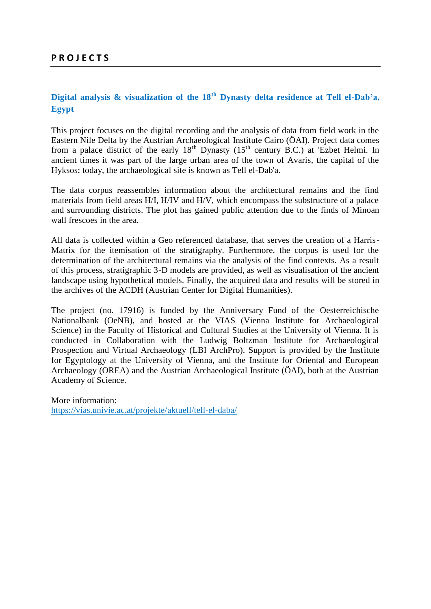## **Digital analysis & visualization of the 18th Dynasty delta residence at Tell el-Dab'a, Egypt**

This project focuses on the digital recording and the analysis of data from field work in the Eastern Nile Delta by the Austrian Archaeological Institute Cairo (ÖAI). Project data comes from a palace district of the early  $18<sup>th</sup>$  Dynasty ( $15<sup>th</sup>$  century B.C.) at 'Ezbet Helmi. In ancient times it was part of the large urban area of the town of Avaris, the capital of the Hyksos; today, the archaeological site is known as Tell el-Dab'a.

The data corpus reassembles information about the architectural remains and the find materials from field areas H/I, H/IV and H/V, which encompass the substructure of a palace and surrounding districts. The plot has gained public attention due to the finds of Minoan wall frescoes in the area.

All data is collected within a Geo referenced database, that serves the creation of a Harris-Matrix for the itemisation of the stratigraphy. Furthermore, the corpus is used for the determination of the architectural remains via the analysis of the find contexts. As a result of this process, stratigraphic 3-D models are provided, as well as visualisation of the ancient landscape using hypothetical models. Finally, the acquired data and results will be stored in the archives of the ACDH (Austrian Center for Digital Humanities).

The project (no. 17916) is funded by the Anniversary Fund of the Oesterreichische Nationalbank (OeNB), and hosted at the VIAS (Vienna Institute for Archaeological Science) in the Faculty of Historical and Cultural Studies at the University of Vienna. It is conducted in Collaboration with the Ludwig Boltzman Institute for Archaeological Prospection and Virtual Archaeology (LBI ArchPro). Support is provided by the Institute for Egyptology at the University of Vienna, and the Institute for Oriental and European Archaeology (OREA) and the Austrian Archaeological Institute (ÖAI), both at the Austrian Academy of Science.

More information: https://vias.univie.ac.at/projekte/aktuell/tell-el-daba/